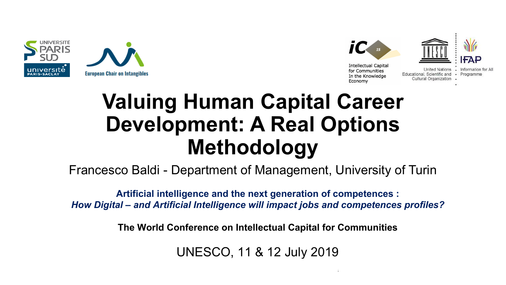





Educational, Scientific and · Programme Cultural Organization

## **Valuing Human Capital Career Development: A Real Options Methodology**

Francesco Baldi - Department of Management, University of Turin

**Artificial intelligence and the next generation of competences :** *How Digital – and Artificial Intelligence will impact jobs and competences profiles?*

**The World Conference on Intellectual Capital for Communities**

UNESCO, 11 & 12 July 2019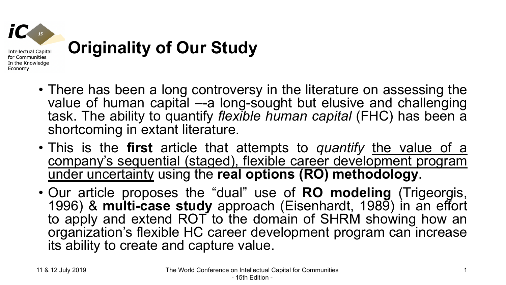

- There has been a long controversy in the literature on assessing the value of human capital –-a long-sought but elusive and challenging task. The ability to quantify *flexible human capital* (FHC) has been a shortcoming in extant literature.
- This is the **first** article that attempts to *quantify* the value of a company's sequential (staged), flexible career development program under uncertainty using the **real options (RO) methodology**.
- Our article proposes the "dual" use of **RO modeling** (Trigeorgis, 1996) & **multi-case study** approach (Eisenhardt, 1989) in an effort to apply and extend ROT to the domain of SHRM showing how an organization's flexible HC career development program can increase its ability to create and capture value.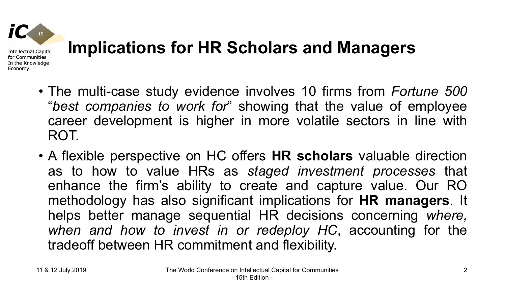

## **Implications for HR Scholars and Managers**

- The multi-case study evidence involves 10 firms from *Fortune 500* "*best companies to work for*" showing that the value of employee career development is higher in more volatile sectors in line with ROT.
- A flexible perspective on HC offers **HR scholars** valuable direction as to how to value HRs as *staged investment processes* that enhance the firm's ability to create and capture value. Our RO methodology has also significant implications for **HR managers**. It helps better manage sequential HR decisions concerning *where, when and how to invest in or redeploy HC*, accounting for the tradeoff between HR commitment and flexibility.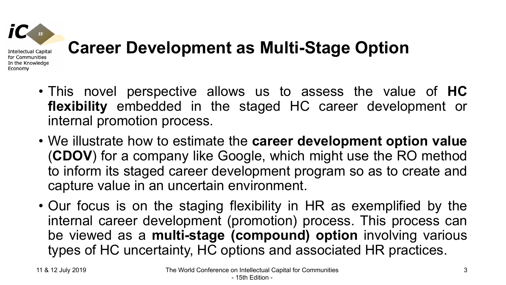

### **Career Development as Multi-Stage Option**

- This novel perspective allows us to assess the value of **HC flexibility** embedded in the staged HC career development or internal promotion process.
- We illustrate how to estimate the **career development option value** (**CDOV**) for a company like Google, which might use the RO method to inform its staged career development program so as to create and capture value in an uncertain environment.
- Our focus is on the staging flexibility in HR as exemplified by the internal career development (promotion) process. This process can be viewed as a **multi-stage (compound) option** involving various types of HC uncertainty, HC options and associated HR practices.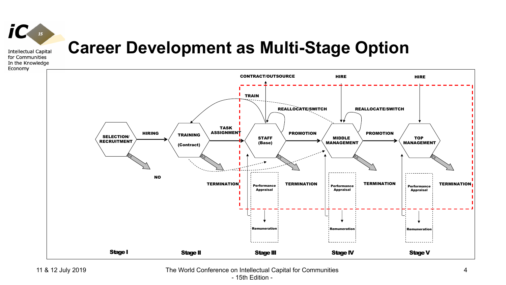

for Communities In the Knowledge Economy

#### **Career Development as Multi-Stage Option**



11 & 12 July 2019 The World Conference on Intellectual Capital for Communities - 15th Edition -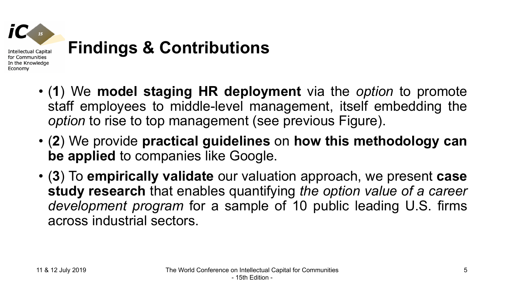

- **Findings & Contributions**
- (**1**) We **model staging HR deployment** via the *option* to promote staff employees to middle-level management, itself embedding the *option* to rise to top management (see previous Figure).
- (**2**) We provide **practical guidelines** on **how this methodology can be applied** to companies like Google.
- (**3**) To **empirically validate** our valuation approach, we present **case study research** that enables quantifying *the option value of a career development program* for a sample of 10 public leading U.S. firms across industrial sectors.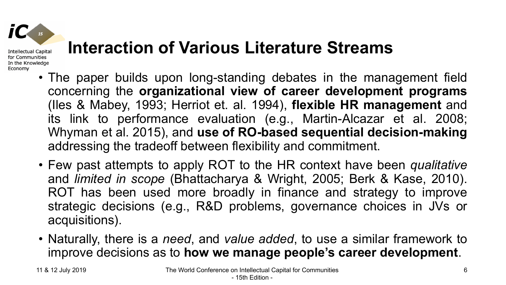

for Communities In the Knowledge Economy

### **Interaction of Various Literature Streams**

- The paper builds upon long-standing debates in the management field concerning the **organizational view of career development programs** (Iles & Mabey, 1993; Herriot et. al. 1994), **flexible HR management** and its link to performance evaluation (e.g., Martin-Alcazar et al. 2008; Whyman et al. 2015), and **use of RO-based sequential decision-making** addressing the tradeoff between flexibility and commitment.
- Few past attempts to apply ROT to the HR context have been *qualitative* and *limited in scope* (Bhattacharya & Wright, 2005; Berk & Kase, 2010). ROT has been used more broadly in finance and strategy to improve strategic decisions (e.g., R&D problems, governance choices in JVs or acquisitions).
- Naturally, there is a *need*, and *value added*, to use a similar framework to improve decisions as to **how we manage people's career development**.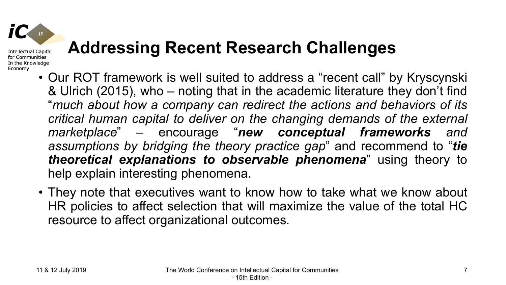#### **Addressing Recent Research Challenges**

- Our ROT framework is well suited to address a "recent call" by Kryscynski & Ulrich (2015), who – noting that in the academic literature they don't find "*much about how a company can redirect the actions and behaviors of its critical human capital to deliver on the changing demands of the external marketplace*" – encourage "*new conceptual frameworks and assumptions by bridging the theory practice gap*" and recommend to "*tie theoretical explanations to observable phenomena*" using theory to help explain interesting phenomena.
- They note that executives want to know how to take what we know about HR policies to affect selection that will maximize the value of the total HC resource to affect organizational outcomes.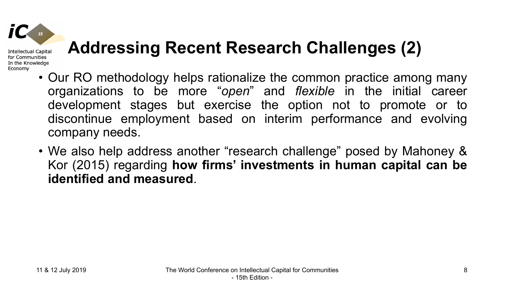# **Addressing Recent Research Challenges (2)**

- Our RO methodology helps rationalize the common practice among many organizations to be more "*open*" and *flexible* in the initial career development stages but exercise the option not to promote or to discontinue employment based on interim performance and evolving company needs.
- We also help address another "research challenge" posed by Mahoney & Kor (2015) regarding **how firms' investments in human capital can be identified and measured**.

**Intellectual Capital** for Communities In the Knowledge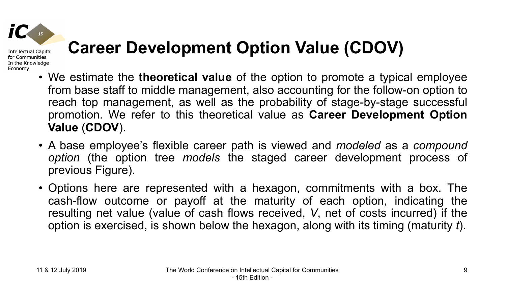

### **Career Development Option Value (CDOV)**

- We estimate the **theoretical value** of the option to promote a typical employee from base staff to middle management, also accounting for the follow-on option to reach top management, as well as the probability of stage-by-stage successful promotion. We refer to this theoretical value as **Career Development Option Value** (**CDOV**).
- A base employee's flexible career path is viewed and *modeled* as a *compound option* (the option tree *models* the staged career development process of previous Figure).
- Options here are represented with a hexagon, commitments with a box. The cash-flow outcome or payoff at the maturity of each option, indicating the resulting net value (value of cash flows received, *V*, net of costs incurred) if the option is exercised, is shown below the hexagon, along with its timing (maturity *t*).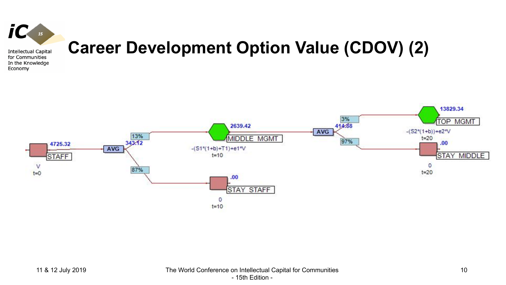

#### **Career Development Option Value (CDOV) (2)**

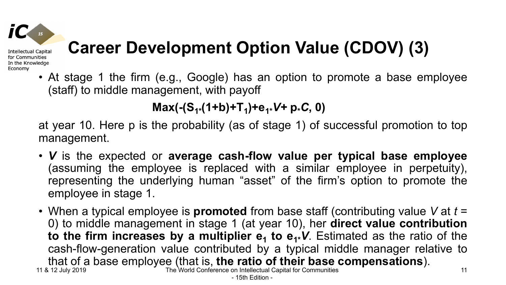## **Career Development Option Value (CDOV) (3)**

• At stage 1 the firm (e.g., Google) has an option to promote a base employee (staff) to middle management, with payoff

 $Max(-(S_{1*}(1+b)+T_{1})+e_{1*}V+p*C, 0)$ 

at year 10. Here p is the probability (as of stage 1) of successful promotion to top management.

- *V* is the expected or **average cash-flow value per typical base employee** (assuming the employee is replaced with a similar employee in perpetuity), representing the underlying human "asset" of the firm's option to promote the employee in stage 1.
- 11 & 12 July 2019 The World Conference on Intellectual Capital for Communities • When a typical employee is **promoted** from base staff (contributing value *V* at *t* = 0) to middle management in stage 1 (at year 10), her **direct value contribution to the firm increases by a multiplier**  $e_1$  **to**  $e_1$ **<b>V**. Estimated as the ratio of the cash-flow-generation value contributed by a typical middle manager relative to that of a base employee (that is, **the ratio of their base compensations**).<br>3.12 July 2019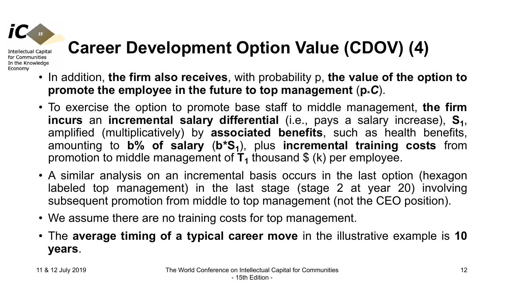Economy

## **Career Development Option Value (CDOV) (4)**

- In addition, **the firm also receives**, with probability p, **the value of the option to promote the employee in the future to top management** (**p\****C*).
- To exercise the option to promote base staff to middle management, **the firm incurs** an **incremental salary differential** (i.e., pays a salary increase),  $S_1$ , amplified (multiplicatively) by **associated benefits**, such as health benefits, amounting to **b**% of salary (b\*S<sub>1</sub>), plus incremental training costs from promotion to middle management of  $T_1$  thousand  $\frac{1}{2}$  (k) per employee.
- A similar analysis on an incremental basis occurs in the last option (hexagon labeled top management) in the last stage (stage 2 at year 20) involving subsequent promotion from middle to top management (not the CEO position).
- We assume there are no training costs for top management.
- The **average timing of a typical career move** in the illustrative example is **10 years**.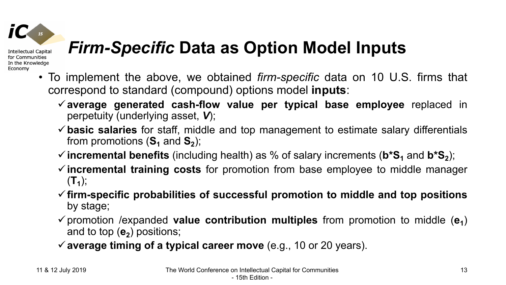### *Firm-Specific* **Data as Option Model Inputs**

- To implement the above, we obtained *firm-specific* data on 10 U.S. firms that correspond to standard (compound) options model **inputs**:
	- ü**average generated cash-flow value per typical base employee** replaced in perpetuity (underlying asset, *V*);
	- ü**basic salaries** for staff, middle and top management to estimate salary differentials from promotions  $(S_1 \text{ and } S_2)$ ;
	- $\checkmark$  incremental benefits (including health) as % of salary increments ( $b^*S_1$  and  $b^*S_2$ );
	- ü**incremental training costs** for promotion from base employee to middle manager  $(T_1)$ ;
	- ü**firm-specific probabilities of successful promotion to middle and top positions** by stage;
	- $\checkmark$  promotion /expanded **value contribution multiples** from promotion to middle ( $e_1$ ) and to top  $(e_2)$  positions;
	- ü**average timing of a typical career move** (e.g., 10 or 20 years).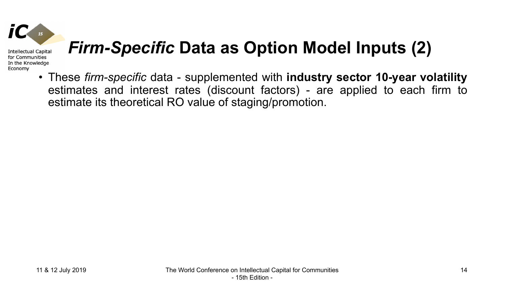

### *Firm-Specific* **Data as Option Model Inputs (2)**

• These *firm-specific* data - supplemented with **industry sector 10-year volatility** estimates and interest rates (discount factors) - are applied to each firm to estimate its theoretical RO value of staging/promotion.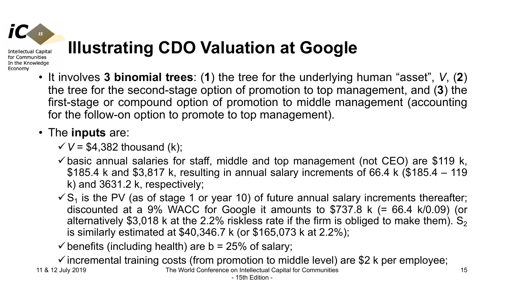Economy

### **Illustrating CDO Valuation at Google**

• It involves **3 binomial trees**: (**1**) the tree for the underlying human "asset", *V*, (**2**) the tree for the second-stage option of promotion to top management, and (**3**) the first-stage or compound option of promotion to middle management (accounting for the follow-on option to promote to top management).

#### • The **inputs** are:

 $V = $4,382$  thousand (k);

- $\checkmark$  basic annual salaries for staff, middle and top management (not CEO) are \$119 k, \$185.4 k and \$3,817 k, resulting in annual salary increments of 66.4 k (\$185.4 – 119 k) and 3631.2 k, respectively;
- $\sqrt{S_1}$  is the PV (as of stage 1 or year 10) of future annual salary increments thereafter; discounted at a 9% WACC for Google it amounts to \$737.8 k (= 66.4 k/0.09) (or alternatively \$3,018 k at the 2.2% riskless rate if the firm is obliged to make them).  $S_2$ is similarly estimated at \$40,346.7 k (or \$165,073 k at 2.2%);

15

 $\checkmark$  benefits (including health) are b = 25% of salary;

11 & 12 July 2019 The World Conference on Intellectual Capital for Communities  $\checkmark$  incremental training costs (from promotion to middle level) are \$2 k per employee;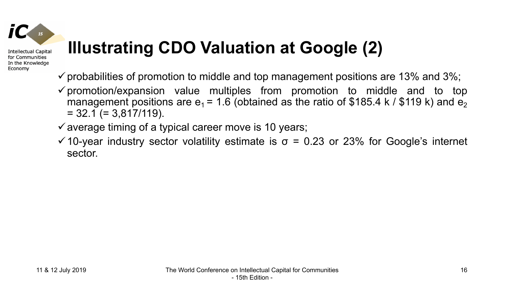### **Illustrating CDO Valuation at Google (2)**

- $\checkmark$  probabilities of promotion to middle and top management positions are 13% and 3%;
- $\checkmark$  promotion/expansion value multiples from promotion to middle and to top management positions are  $e_1$  = 1.6 (obtained as the ratio of \$185.4 k / \$119 k) and  $e_2$  $= 32.1$  (= 3,817/119).

 $\checkmark$  average timing of a typical career move is 10 years;

 $\checkmark$  10-year industry sector volatility estimate is  $\sigma$  = 0.23 or 23% for Google's internet sector.

**Intellectual Capital** for Communities In the Knowledge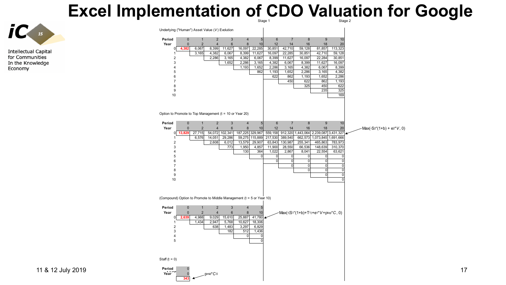#### Excel Implementation of CDO Valuation for Google



**Intellectual Capital** for Communities In the Knowledge Economy

| Underlying ("Human") Asset Value (V) Evolution<br>3<br>$\sqrt{7}$<br>8<br>$\boldsymbol{9}$<br>$\pmb{0}$<br>$\mathbf{1}$<br>$\overline{2}$<br>$\sqrt{4}$<br>5<br>$\,6\,$<br>10<br>$\bf 8$<br>$\pmb{0}$<br>$\mathbf 2$<br>$\overline{\mathbf{4}}$<br>$\,$ 6<br>10<br>12<br>16<br>18<br>20<br>Year<br>14<br>6,067<br>8,399<br>11,627<br>16,097<br>22,285<br>30,851<br>42,710<br>59,128<br>81,857<br>113,323<br>4,382<br>0<br>59,128<br>4,382<br>6,067<br>8,399<br>11,627<br>16,097<br>22,285<br>30,851<br>42,710<br>3,165<br>1<br>$\overline{2}$<br>2,286<br>3,165<br>4,382<br>6,067<br>8,399<br>11,627<br>16,097<br>22,284<br>30,851<br>3<br>1,652<br>2,286<br>4,382<br>6,067<br>8,399<br>11,627<br>16,097<br>3,165<br>2,286<br>8,399<br>1,193<br>1,652<br>3,165<br>4,382<br>6,067<br>$\overline{4}$<br>2,286<br>4,382<br>5<br>862<br>1,193<br>1,652<br>3,165<br>2,286<br>622<br>1.193<br>6<br>862<br>1,652<br>622<br>$\overline{7}$<br>450<br>862<br>1,193<br>325<br>450<br>622<br>8<br>235<br>325<br>9<br>169<br>10<br>Option to Promote to Top Management (t = 10 or Year 20)<br>Period<br>$\overline{2}$<br>$\ensuremath{\mathsf{3}}$<br>$\mathbf 0$<br>$\mathbf{1}$<br>$\overline{4}$<br>5<br>$6\phantom{1}$<br>$\overline{7}$<br>8<br>9<br>10<br>8<br>20<br>Year<br>$\mathbf{0}$<br>$\overline{2}$<br>$\overline{4}$<br>6<br>10<br>12<br>14<br>16<br>18<br>- Max(-S2*(1+b) + e2* V, 0)<br>912,320<br>1,443,064 2,239,087<br>3,431,327<br>27,715<br>54,072<br>102,341<br>187,225<br>329,967<br>559,158<br>13,829<br>$\overline{0}$<br>6,576<br>14,051<br>29,286<br>59,275<br>115,889<br>217,530<br>389,540<br>662,573<br>1,073,845<br>,691,666<br>1<br>$\overline{2}$<br>2,608<br>6,012<br>13,579<br>29,907<br>63,843<br>130,987<br>255,341<br>465,863<br>783,973<br>3<br>1,950<br>4,857<br>11,900<br>28,550<br>66,536<br>148,639<br>310,370<br>773<br>130<br>364<br>1,022<br>8,041<br>63,621<br>2,867<br>22,554<br>$\overline{4}$<br>5<br>$\mathbf 0$<br>$\mathbf 0$<br>0<br>0<br>$\mathbf 0$<br>0<br>$\overline{0}$<br>6<br>$\mathbf{0}$<br>$\mathbf 0$<br>$\mathbf 0$<br>$\mathbf 0$<br>$\overline{0}$<br>$\overline{7}$<br>$\mathbf 0$<br>0<br>$\mathbf 0$<br>8<br>$\mathbf 0$<br>$\pmb{0}$<br>0<br>9<br>$\overline{0}$<br>$\overline{0}$<br>$\overline{0}$<br>10<br>(Compound) Option to Promote to Middle Management (t = 5 or Year 10)<br>Period<br>$\pmb{0}$<br>$\mathbf{1}$<br>$\overline{2}$<br>$\sqrt{3}$<br>$\overline{4}$<br>5<br>$\overline{4}$<br>$\bf 8$<br>10<br>Year<br>$\pmb{0}$<br>$\overline{2}$<br>$6\phantom{1}$<br>$Max(-(S1*(1+b)+T1)+e1*V+ptop*C, 0)$<br>4,988<br>9,029<br>15,610<br>25,887<br>41,780<br>2,639<br>0<br>$\mathbf{1}$<br>1,434<br>2,947<br>5,768<br>10,627<br>18,306<br>$\overline{2}$<br>638<br>1,483<br>3,297<br>6,829<br>512<br>1,436<br>3<br>182<br>$\overline{\mathbf{4}}$<br>0<br>$\mathbf 0$<br>$\overline{0}$<br>5<br>$\bf{0}$<br>Year<br>$\mathbf{0}$<br>pmid*C0 |                 |  |  |  | Stage 1 |  |  | Stage 2 |  |  |
|----------------------------------------------------------------------------------------------------------------------------------------------------------------------------------------------------------------------------------------------------------------------------------------------------------------------------------------------------------------------------------------------------------------------------------------------------------------------------------------------------------------------------------------------------------------------------------------------------------------------------------------------------------------------------------------------------------------------------------------------------------------------------------------------------------------------------------------------------------------------------------------------------------------------------------------------------------------------------------------------------------------------------------------------------------------------------------------------------------------------------------------------------------------------------------------------------------------------------------------------------------------------------------------------------------------------------------------------------------------------------------------------------------------------------------------------------------------------------------------------------------------------------------------------------------------------------------------------------------------------------------------------------------------------------------------------------------------------------------------------------------------------------------------------------------------------------------------------------------------------------------------------------------------------------------------------------------------------------------------------------------------------------------------------------------------------------------------------------------------------------------------------------------------------------------------------------------------------------------------------------------------------------------------------------------------------------------------------------------------------------------------------------------------------------------------------------------------------------------------------------------------------------------------------------------------------------------------------------------------------------------------------------------------------------------------------------------------------------------------------------------------------------------------------------------------------------------------------------------------------------------------------------------------------|-----------------|--|--|--|---------|--|--|---------|--|--|
|                                                                                                                                                                                                                                                                                                                                                                                                                                                                                                                                                                                                                                                                                                                                                                                                                                                                                                                                                                                                                                                                                                                                                                                                                                                                                                                                                                                                                                                                                                                                                                                                                                                                                                                                                                                                                                                                                                                                                                                                                                                                                                                                                                                                                                                                                                                                                                                                                                                                                                                                                                                                                                                                                                                                                                                                                                                                                                                      |                 |  |  |  |         |  |  |         |  |  |
|                                                                                                                                                                                                                                                                                                                                                                                                                                                                                                                                                                                                                                                                                                                                                                                                                                                                                                                                                                                                                                                                                                                                                                                                                                                                                                                                                                                                                                                                                                                                                                                                                                                                                                                                                                                                                                                                                                                                                                                                                                                                                                                                                                                                                                                                                                                                                                                                                                                                                                                                                                                                                                                                                                                                                                                                                                                                                                                      | Period          |  |  |  |         |  |  |         |  |  |
|                                                                                                                                                                                                                                                                                                                                                                                                                                                                                                                                                                                                                                                                                                                                                                                                                                                                                                                                                                                                                                                                                                                                                                                                                                                                                                                                                                                                                                                                                                                                                                                                                                                                                                                                                                                                                                                                                                                                                                                                                                                                                                                                                                                                                                                                                                                                                                                                                                                                                                                                                                                                                                                                                                                                                                                                                                                                                                                      |                 |  |  |  |         |  |  |         |  |  |
|                                                                                                                                                                                                                                                                                                                                                                                                                                                                                                                                                                                                                                                                                                                                                                                                                                                                                                                                                                                                                                                                                                                                                                                                                                                                                                                                                                                                                                                                                                                                                                                                                                                                                                                                                                                                                                                                                                                                                                                                                                                                                                                                                                                                                                                                                                                                                                                                                                                                                                                                                                                                                                                                                                                                                                                                                                                                                                                      |                 |  |  |  |         |  |  |         |  |  |
|                                                                                                                                                                                                                                                                                                                                                                                                                                                                                                                                                                                                                                                                                                                                                                                                                                                                                                                                                                                                                                                                                                                                                                                                                                                                                                                                                                                                                                                                                                                                                                                                                                                                                                                                                                                                                                                                                                                                                                                                                                                                                                                                                                                                                                                                                                                                                                                                                                                                                                                                                                                                                                                                                                                                                                                                                                                                                                                      |                 |  |  |  |         |  |  |         |  |  |
|                                                                                                                                                                                                                                                                                                                                                                                                                                                                                                                                                                                                                                                                                                                                                                                                                                                                                                                                                                                                                                                                                                                                                                                                                                                                                                                                                                                                                                                                                                                                                                                                                                                                                                                                                                                                                                                                                                                                                                                                                                                                                                                                                                                                                                                                                                                                                                                                                                                                                                                                                                                                                                                                                                                                                                                                                                                                                                                      |                 |  |  |  |         |  |  |         |  |  |
|                                                                                                                                                                                                                                                                                                                                                                                                                                                                                                                                                                                                                                                                                                                                                                                                                                                                                                                                                                                                                                                                                                                                                                                                                                                                                                                                                                                                                                                                                                                                                                                                                                                                                                                                                                                                                                                                                                                                                                                                                                                                                                                                                                                                                                                                                                                                                                                                                                                                                                                                                                                                                                                                                                                                                                                                                                                                                                                      |                 |  |  |  |         |  |  |         |  |  |
|                                                                                                                                                                                                                                                                                                                                                                                                                                                                                                                                                                                                                                                                                                                                                                                                                                                                                                                                                                                                                                                                                                                                                                                                                                                                                                                                                                                                                                                                                                                                                                                                                                                                                                                                                                                                                                                                                                                                                                                                                                                                                                                                                                                                                                                                                                                                                                                                                                                                                                                                                                                                                                                                                                                                                                                                                                                                                                                      |                 |  |  |  |         |  |  |         |  |  |
|                                                                                                                                                                                                                                                                                                                                                                                                                                                                                                                                                                                                                                                                                                                                                                                                                                                                                                                                                                                                                                                                                                                                                                                                                                                                                                                                                                                                                                                                                                                                                                                                                                                                                                                                                                                                                                                                                                                                                                                                                                                                                                                                                                                                                                                                                                                                                                                                                                                                                                                                                                                                                                                                                                                                                                                                                                                                                                                      |                 |  |  |  |         |  |  |         |  |  |
|                                                                                                                                                                                                                                                                                                                                                                                                                                                                                                                                                                                                                                                                                                                                                                                                                                                                                                                                                                                                                                                                                                                                                                                                                                                                                                                                                                                                                                                                                                                                                                                                                                                                                                                                                                                                                                                                                                                                                                                                                                                                                                                                                                                                                                                                                                                                                                                                                                                                                                                                                                                                                                                                                                                                                                                                                                                                                                                      |                 |  |  |  |         |  |  |         |  |  |
|                                                                                                                                                                                                                                                                                                                                                                                                                                                                                                                                                                                                                                                                                                                                                                                                                                                                                                                                                                                                                                                                                                                                                                                                                                                                                                                                                                                                                                                                                                                                                                                                                                                                                                                                                                                                                                                                                                                                                                                                                                                                                                                                                                                                                                                                                                                                                                                                                                                                                                                                                                                                                                                                                                                                                                                                                                                                                                                      |                 |  |  |  |         |  |  |         |  |  |
|                                                                                                                                                                                                                                                                                                                                                                                                                                                                                                                                                                                                                                                                                                                                                                                                                                                                                                                                                                                                                                                                                                                                                                                                                                                                                                                                                                                                                                                                                                                                                                                                                                                                                                                                                                                                                                                                                                                                                                                                                                                                                                                                                                                                                                                                                                                                                                                                                                                                                                                                                                                                                                                                                                                                                                                                                                                                                                                      |                 |  |  |  |         |  |  |         |  |  |
|                                                                                                                                                                                                                                                                                                                                                                                                                                                                                                                                                                                                                                                                                                                                                                                                                                                                                                                                                                                                                                                                                                                                                                                                                                                                                                                                                                                                                                                                                                                                                                                                                                                                                                                                                                                                                                                                                                                                                                                                                                                                                                                                                                                                                                                                                                                                                                                                                                                                                                                                                                                                                                                                                                                                                                                                                                                                                                                      |                 |  |  |  |         |  |  |         |  |  |
|                                                                                                                                                                                                                                                                                                                                                                                                                                                                                                                                                                                                                                                                                                                                                                                                                                                                                                                                                                                                                                                                                                                                                                                                                                                                                                                                                                                                                                                                                                                                                                                                                                                                                                                                                                                                                                                                                                                                                                                                                                                                                                                                                                                                                                                                                                                                                                                                                                                                                                                                                                                                                                                                                                                                                                                                                                                                                                                      |                 |  |  |  |         |  |  |         |  |  |
|                                                                                                                                                                                                                                                                                                                                                                                                                                                                                                                                                                                                                                                                                                                                                                                                                                                                                                                                                                                                                                                                                                                                                                                                                                                                                                                                                                                                                                                                                                                                                                                                                                                                                                                                                                                                                                                                                                                                                                                                                                                                                                                                                                                                                                                                                                                                                                                                                                                                                                                                                                                                                                                                                                                                                                                                                                                                                                                      |                 |  |  |  |         |  |  |         |  |  |
|                                                                                                                                                                                                                                                                                                                                                                                                                                                                                                                                                                                                                                                                                                                                                                                                                                                                                                                                                                                                                                                                                                                                                                                                                                                                                                                                                                                                                                                                                                                                                                                                                                                                                                                                                                                                                                                                                                                                                                                                                                                                                                                                                                                                                                                                                                                                                                                                                                                                                                                                                                                                                                                                                                                                                                                                                                                                                                                      |                 |  |  |  |         |  |  |         |  |  |
|                                                                                                                                                                                                                                                                                                                                                                                                                                                                                                                                                                                                                                                                                                                                                                                                                                                                                                                                                                                                                                                                                                                                                                                                                                                                                                                                                                                                                                                                                                                                                                                                                                                                                                                                                                                                                                                                                                                                                                                                                                                                                                                                                                                                                                                                                                                                                                                                                                                                                                                                                                                                                                                                                                                                                                                                                                                                                                                      |                 |  |  |  |         |  |  |         |  |  |
|                                                                                                                                                                                                                                                                                                                                                                                                                                                                                                                                                                                                                                                                                                                                                                                                                                                                                                                                                                                                                                                                                                                                                                                                                                                                                                                                                                                                                                                                                                                                                                                                                                                                                                                                                                                                                                                                                                                                                                                                                                                                                                                                                                                                                                                                                                                                                                                                                                                                                                                                                                                                                                                                                                                                                                                                                                                                                                                      |                 |  |  |  |         |  |  |         |  |  |
|                                                                                                                                                                                                                                                                                                                                                                                                                                                                                                                                                                                                                                                                                                                                                                                                                                                                                                                                                                                                                                                                                                                                                                                                                                                                                                                                                                                                                                                                                                                                                                                                                                                                                                                                                                                                                                                                                                                                                                                                                                                                                                                                                                                                                                                                                                                                                                                                                                                                                                                                                                                                                                                                                                                                                                                                                                                                                                                      |                 |  |  |  |         |  |  |         |  |  |
|                                                                                                                                                                                                                                                                                                                                                                                                                                                                                                                                                                                                                                                                                                                                                                                                                                                                                                                                                                                                                                                                                                                                                                                                                                                                                                                                                                                                                                                                                                                                                                                                                                                                                                                                                                                                                                                                                                                                                                                                                                                                                                                                                                                                                                                                                                                                                                                                                                                                                                                                                                                                                                                                                                                                                                                                                                                                                                                      |                 |  |  |  |         |  |  |         |  |  |
|                                                                                                                                                                                                                                                                                                                                                                                                                                                                                                                                                                                                                                                                                                                                                                                                                                                                                                                                                                                                                                                                                                                                                                                                                                                                                                                                                                                                                                                                                                                                                                                                                                                                                                                                                                                                                                                                                                                                                                                                                                                                                                                                                                                                                                                                                                                                                                                                                                                                                                                                                                                                                                                                                                                                                                                                                                                                                                                      |                 |  |  |  |         |  |  |         |  |  |
|                                                                                                                                                                                                                                                                                                                                                                                                                                                                                                                                                                                                                                                                                                                                                                                                                                                                                                                                                                                                                                                                                                                                                                                                                                                                                                                                                                                                                                                                                                                                                                                                                                                                                                                                                                                                                                                                                                                                                                                                                                                                                                                                                                                                                                                                                                                                                                                                                                                                                                                                                                                                                                                                                                                                                                                                                                                                                                                      |                 |  |  |  |         |  |  |         |  |  |
|                                                                                                                                                                                                                                                                                                                                                                                                                                                                                                                                                                                                                                                                                                                                                                                                                                                                                                                                                                                                                                                                                                                                                                                                                                                                                                                                                                                                                                                                                                                                                                                                                                                                                                                                                                                                                                                                                                                                                                                                                                                                                                                                                                                                                                                                                                                                                                                                                                                                                                                                                                                                                                                                                                                                                                                                                                                                                                                      |                 |  |  |  |         |  |  |         |  |  |
|                                                                                                                                                                                                                                                                                                                                                                                                                                                                                                                                                                                                                                                                                                                                                                                                                                                                                                                                                                                                                                                                                                                                                                                                                                                                                                                                                                                                                                                                                                                                                                                                                                                                                                                                                                                                                                                                                                                                                                                                                                                                                                                                                                                                                                                                                                                                                                                                                                                                                                                                                                                                                                                                                                                                                                                                                                                                                                                      |                 |  |  |  |         |  |  |         |  |  |
|                                                                                                                                                                                                                                                                                                                                                                                                                                                                                                                                                                                                                                                                                                                                                                                                                                                                                                                                                                                                                                                                                                                                                                                                                                                                                                                                                                                                                                                                                                                                                                                                                                                                                                                                                                                                                                                                                                                                                                                                                                                                                                                                                                                                                                                                                                                                                                                                                                                                                                                                                                                                                                                                                                                                                                                                                                                                                                                      |                 |  |  |  |         |  |  |         |  |  |
|                                                                                                                                                                                                                                                                                                                                                                                                                                                                                                                                                                                                                                                                                                                                                                                                                                                                                                                                                                                                                                                                                                                                                                                                                                                                                                                                                                                                                                                                                                                                                                                                                                                                                                                                                                                                                                                                                                                                                                                                                                                                                                                                                                                                                                                                                                                                                                                                                                                                                                                                                                                                                                                                                                                                                                                                                                                                                                                      |                 |  |  |  |         |  |  |         |  |  |
|                                                                                                                                                                                                                                                                                                                                                                                                                                                                                                                                                                                                                                                                                                                                                                                                                                                                                                                                                                                                                                                                                                                                                                                                                                                                                                                                                                                                                                                                                                                                                                                                                                                                                                                                                                                                                                                                                                                                                                                                                                                                                                                                                                                                                                                                                                                                                                                                                                                                                                                                                                                                                                                                                                                                                                                                                                                                                                                      |                 |  |  |  |         |  |  |         |  |  |
|                                                                                                                                                                                                                                                                                                                                                                                                                                                                                                                                                                                                                                                                                                                                                                                                                                                                                                                                                                                                                                                                                                                                                                                                                                                                                                                                                                                                                                                                                                                                                                                                                                                                                                                                                                                                                                                                                                                                                                                                                                                                                                                                                                                                                                                                                                                                                                                                                                                                                                                                                                                                                                                                                                                                                                                                                                                                                                                      |                 |  |  |  |         |  |  |         |  |  |
|                                                                                                                                                                                                                                                                                                                                                                                                                                                                                                                                                                                                                                                                                                                                                                                                                                                                                                                                                                                                                                                                                                                                                                                                                                                                                                                                                                                                                                                                                                                                                                                                                                                                                                                                                                                                                                                                                                                                                                                                                                                                                                                                                                                                                                                                                                                                                                                                                                                                                                                                                                                                                                                                                                                                                                                                                                                                                                                      |                 |  |  |  |         |  |  |         |  |  |
|                                                                                                                                                                                                                                                                                                                                                                                                                                                                                                                                                                                                                                                                                                                                                                                                                                                                                                                                                                                                                                                                                                                                                                                                                                                                                                                                                                                                                                                                                                                                                                                                                                                                                                                                                                                                                                                                                                                                                                                                                                                                                                                                                                                                                                                                                                                                                                                                                                                                                                                                                                                                                                                                                                                                                                                                                                                                                                                      |                 |  |  |  |         |  |  |         |  |  |
|                                                                                                                                                                                                                                                                                                                                                                                                                                                                                                                                                                                                                                                                                                                                                                                                                                                                                                                                                                                                                                                                                                                                                                                                                                                                                                                                                                                                                                                                                                                                                                                                                                                                                                                                                                                                                                                                                                                                                                                                                                                                                                                                                                                                                                                                                                                                                                                                                                                                                                                                                                                                                                                                                                                                                                                                                                                                                                                      |                 |  |  |  |         |  |  |         |  |  |
|                                                                                                                                                                                                                                                                                                                                                                                                                                                                                                                                                                                                                                                                                                                                                                                                                                                                                                                                                                                                                                                                                                                                                                                                                                                                                                                                                                                                                                                                                                                                                                                                                                                                                                                                                                                                                                                                                                                                                                                                                                                                                                                                                                                                                                                                                                                                                                                                                                                                                                                                                                                                                                                                                                                                                                                                                                                                                                                      |                 |  |  |  |         |  |  |         |  |  |
|                                                                                                                                                                                                                                                                                                                                                                                                                                                                                                                                                                                                                                                                                                                                                                                                                                                                                                                                                                                                                                                                                                                                                                                                                                                                                                                                                                                                                                                                                                                                                                                                                                                                                                                                                                                                                                                                                                                                                                                                                                                                                                                                                                                                                                                                                                                                                                                                                                                                                                                                                                                                                                                                                                                                                                                                                                                                                                                      |                 |  |  |  |         |  |  |         |  |  |
|                                                                                                                                                                                                                                                                                                                                                                                                                                                                                                                                                                                                                                                                                                                                                                                                                                                                                                                                                                                                                                                                                                                                                                                                                                                                                                                                                                                                                                                                                                                                                                                                                                                                                                                                                                                                                                                                                                                                                                                                                                                                                                                                                                                                                                                                                                                                                                                                                                                                                                                                                                                                                                                                                                                                                                                                                                                                                                                      |                 |  |  |  |         |  |  |         |  |  |
|                                                                                                                                                                                                                                                                                                                                                                                                                                                                                                                                                                                                                                                                                                                                                                                                                                                                                                                                                                                                                                                                                                                                                                                                                                                                                                                                                                                                                                                                                                                                                                                                                                                                                                                                                                                                                                                                                                                                                                                                                                                                                                                                                                                                                                                                                                                                                                                                                                                                                                                                                                                                                                                                                                                                                                                                                                                                                                                      |                 |  |  |  |         |  |  |         |  |  |
|                                                                                                                                                                                                                                                                                                                                                                                                                                                                                                                                                                                                                                                                                                                                                                                                                                                                                                                                                                                                                                                                                                                                                                                                                                                                                                                                                                                                                                                                                                                                                                                                                                                                                                                                                                                                                                                                                                                                                                                                                                                                                                                                                                                                                                                                                                                                                                                                                                                                                                                                                                                                                                                                                                                                                                                                                                                                                                                      |                 |  |  |  |         |  |  |         |  |  |
|                                                                                                                                                                                                                                                                                                                                                                                                                                                                                                                                                                                                                                                                                                                                                                                                                                                                                                                                                                                                                                                                                                                                                                                                                                                                                                                                                                                                                                                                                                                                                                                                                                                                                                                                                                                                                                                                                                                                                                                                                                                                                                                                                                                                                                                                                                                                                                                                                                                                                                                                                                                                                                                                                                                                                                                                                                                                                                                      |                 |  |  |  |         |  |  |         |  |  |
|                                                                                                                                                                                                                                                                                                                                                                                                                                                                                                                                                                                                                                                                                                                                                                                                                                                                                                                                                                                                                                                                                                                                                                                                                                                                                                                                                                                                                                                                                                                                                                                                                                                                                                                                                                                                                                                                                                                                                                                                                                                                                                                                                                                                                                                                                                                                                                                                                                                                                                                                                                                                                                                                                                                                                                                                                                                                                                                      |                 |  |  |  |         |  |  |         |  |  |
|                                                                                                                                                                                                                                                                                                                                                                                                                                                                                                                                                                                                                                                                                                                                                                                                                                                                                                                                                                                                                                                                                                                                                                                                                                                                                                                                                                                                                                                                                                                                                                                                                                                                                                                                                                                                                                                                                                                                                                                                                                                                                                                                                                                                                                                                                                                                                                                                                                                                                                                                                                                                                                                                                                                                                                                                                                                                                                                      |                 |  |  |  |         |  |  |         |  |  |
|                                                                                                                                                                                                                                                                                                                                                                                                                                                                                                                                                                                                                                                                                                                                                                                                                                                                                                                                                                                                                                                                                                                                                                                                                                                                                                                                                                                                                                                                                                                                                                                                                                                                                                                                                                                                                                                                                                                                                                                                                                                                                                                                                                                                                                                                                                                                                                                                                                                                                                                                                                                                                                                                                                                                                                                                                                                                                                                      |                 |  |  |  |         |  |  |         |  |  |
|                                                                                                                                                                                                                                                                                                                                                                                                                                                                                                                                                                                                                                                                                                                                                                                                                                                                                                                                                                                                                                                                                                                                                                                                                                                                                                                                                                                                                                                                                                                                                                                                                                                                                                                                                                                                                                                                                                                                                                                                                                                                                                                                                                                                                                                                                                                                                                                                                                                                                                                                                                                                                                                                                                                                                                                                                                                                                                                      |                 |  |  |  |         |  |  |         |  |  |
|                                                                                                                                                                                                                                                                                                                                                                                                                                                                                                                                                                                                                                                                                                                                                                                                                                                                                                                                                                                                                                                                                                                                                                                                                                                                                                                                                                                                                                                                                                                                                                                                                                                                                                                                                                                                                                                                                                                                                                                                                                                                                                                                                                                                                                                                                                                                                                                                                                                                                                                                                                                                                                                                                                                                                                                                                                                                                                                      |                 |  |  |  |         |  |  |         |  |  |
|                                                                                                                                                                                                                                                                                                                                                                                                                                                                                                                                                                                                                                                                                                                                                                                                                                                                                                                                                                                                                                                                                                                                                                                                                                                                                                                                                                                                                                                                                                                                                                                                                                                                                                                                                                                                                                                                                                                                                                                                                                                                                                                                                                                                                                                                                                                                                                                                                                                                                                                                                                                                                                                                                                                                                                                                                                                                                                                      |                 |  |  |  |         |  |  |         |  |  |
|                                                                                                                                                                                                                                                                                                                                                                                                                                                                                                                                                                                                                                                                                                                                                                                                                                                                                                                                                                                                                                                                                                                                                                                                                                                                                                                                                                                                                                                                                                                                                                                                                                                                                                                                                                                                                                                                                                                                                                                                                                                                                                                                                                                                                                                                                                                                                                                                                                                                                                                                                                                                                                                                                                                                                                                                                                                                                                                      |                 |  |  |  |         |  |  |         |  |  |
|                                                                                                                                                                                                                                                                                                                                                                                                                                                                                                                                                                                                                                                                                                                                                                                                                                                                                                                                                                                                                                                                                                                                                                                                                                                                                                                                                                                                                                                                                                                                                                                                                                                                                                                                                                                                                                                                                                                                                                                                                                                                                                                                                                                                                                                                                                                                                                                                                                                                                                                                                                                                                                                                                                                                                                                                                                                                                                                      |                 |  |  |  |         |  |  |         |  |  |
|                                                                                                                                                                                                                                                                                                                                                                                                                                                                                                                                                                                                                                                                                                                                                                                                                                                                                                                                                                                                                                                                                                                                                                                                                                                                                                                                                                                                                                                                                                                                                                                                                                                                                                                                                                                                                                                                                                                                                                                                                                                                                                                                                                                                                                                                                                                                                                                                                                                                                                                                                                                                                                                                                                                                                                                                                                                                                                                      | Staff $(t = 0)$ |  |  |  |         |  |  |         |  |  |
|                                                                                                                                                                                                                                                                                                                                                                                                                                                                                                                                                                                                                                                                                                                                                                                                                                                                                                                                                                                                                                                                                                                                                                                                                                                                                                                                                                                                                                                                                                                                                                                                                                                                                                                                                                                                                                                                                                                                                                                                                                                                                                                                                                                                                                                                                                                                                                                                                                                                                                                                                                                                                                                                                                                                                                                                                                                                                                                      |                 |  |  |  |         |  |  |         |  |  |
|                                                                                                                                                                                                                                                                                                                                                                                                                                                                                                                                                                                                                                                                                                                                                                                                                                                                                                                                                                                                                                                                                                                                                                                                                                                                                                                                                                                                                                                                                                                                                                                                                                                                                                                                                                                                                                                                                                                                                                                                                                                                                                                                                                                                                                                                                                                                                                                                                                                                                                                                                                                                                                                                                                                                                                                                                                                                                                                      | Period          |  |  |  |         |  |  |         |  |  |
|                                                                                                                                                                                                                                                                                                                                                                                                                                                                                                                                                                                                                                                                                                                                                                                                                                                                                                                                                                                                                                                                                                                                                                                                                                                                                                                                                                                                                                                                                                                                                                                                                                                                                                                                                                                                                                                                                                                                                                                                                                                                                                                                                                                                                                                                                                                                                                                                                                                                                                                                                                                                                                                                                                                                                                                                                                                                                                                      |                 |  |  |  |         |  |  |         |  |  |

- 15th Edition -

**343**

سد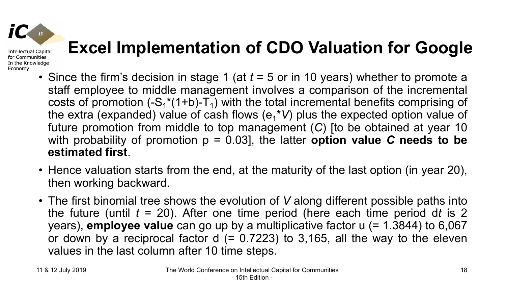# **Excel Implementation of CDO Valuation for Google**

- Since the firm's decision in stage 1 (at *t* = 5 or in 10 years) whether to promote a staff employee to middle management involves a comparison of the incremental costs of promotion  $(-S_1^*(1+b)-T_1)$  with the total incremental benefits comprising of the extra (expanded) value of cash flows (e<sub>1</sub>\*V) plus the expected option value of future promotion from middle to top management (*C*) [to be obtained at year 10 with probability of promotion  $p = 0.03$ , the latter **option value C needs to be estimated first**.
- Hence valuation starts from the end, at the maturity of the last option (in year 20), then working backward.
- The first binomial tree shows the evolution of *V* along different possible paths into the future (until *t* = 20). After one time period (here each time period d*t* is 2 years), **employee value** can go up by a multiplicative factor u (= 1.3844) to 6,067 or down by a reciprocal factor  $d = 0.7223$  to 3,165, all the way to the eleven values in the last column after 10 time steps.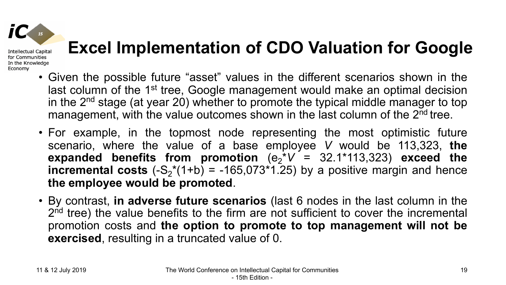# **Excel Implementation of CDO Valuation for Google**

- Given the possible future "asset" values in the different scenarios shown in the last column of the 1<sup>st</sup> tree, Google management would make an optimal decision in the  $2<sup>nd</sup>$  stage (at year 20) whether to promote the typical middle manager to top management, with the value outcomes shown in the last column of the 2<sup>nd</sup> tree.
- For example, in the topmost node representing the most optimistic future scenario, where the value of a base employee *V* would be 113,323, **the**  $e$ **x** panded benefits from promotion  $(e_2^*V = 32.1^*113,323)$  exceed the **incremental costs**  $(-S_2^*(1+b) = -165,073^*1.25)$  by a positive margin and hence **the employee would be promoted**.
- By contrast, **in adverse future scenarios** (last 6 nodes in the last column in the 2<sup>nd</sup> tree) the value benefits to the firm are not sufficient to cover the incremental promotion costs and **the option to promote to top management will not be exercised**, resulting in a truncated value of 0.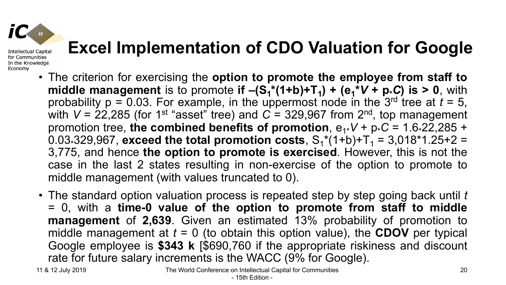## **Excel Implementation of CDO Valuation for Google**

- The criterion for exercising the **option to promote the employee from staff to middle management** is to promote **if**  $-(S_1^*(1+b)+T_1) + (e_1^*V + p_*C)$  is > 0, with probability  $p = 0.03$ . For example, in the uppermost node in the 3<sup>rd</sup> tree at  $t = 5$ , with V = 22,285 (for 1<sup>st</sup> "asset" tree) and C = 329,967 from 2<sup>nd</sup>, top management promotion tree, the combined benefits of promotion,  $e_{1*}V + p_{*}C = 1.6*22,285 +$ 0.03-329,967, **exceed the total promotion costs**,  $S_1^*(1+b)+T_1 = 3,018^*1.25+2 =$ 3,775, and hence **the option to promote is exercised**. However, this is not the case in the last 2 states resulting in non-exercise of the option to promote to middle management (with values truncated to 0).
- The standard option valuation process is repeated step by step going back until *t* = 0, with a **time-0 value of the option to promote from staff to middle management** of **2,639**. Given an estimated 13% probability of promotion to middle management at  $t = 0$  (to obtain this option value), the **CDOV** per typical Google employee is **\$343 k** [\$690,760 if the appropriate riskiness and discount rate for future salary increments is the WACC (9% for Google).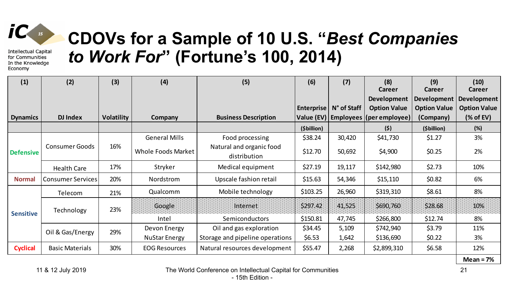

#### **CDOVs for a Sample of 10 U.S. "***Best Companies to Work For***" (Fortune's 100, 2014)**

| (1)              | (2)                      | (3)               | (4)                       | (5)                                      | (6)               | (7)         | (8)<br><b>Career</b>                    | (9)<br><b>Career</b> | (10)<br><b>Career</b> |
|------------------|--------------------------|-------------------|---------------------------|------------------------------------------|-------------------|-------------|-----------------------------------------|----------------------|-----------------------|
|                  |                          |                   |                           |                                          |                   |             | Development                             | <b>Development</b>   | <b>Development</b>    |
|                  |                          |                   |                           |                                          | <b>Enterprise</b> | N° of Staff | <b>Option Value</b>                     | <b>Option Value</b>  | <b>Option Value</b>   |
| <b>Dynamics</b>  | <b>DJ Index</b>          | <b>Volatility</b> | <b>Company</b>            | <b>Business Description</b>              |                   |             | Value (EV)   Employees   (per employee) | (Company)            | $%$ of EV)            |
|                  |                          |                   |                           |                                          | (\$billion)       |             | (5)                                     | (\$billion)          | (%)                   |
|                  |                          | 16%               | <b>General Mills</b>      | Food processing                          | \$38.24           | 30,420      | \$41,730                                | \$1.27               | 3%                    |
| <b>Defensive</b> | <b>Consumer Goods</b>    |                   | <b>Whole Foods Market</b> | Natural and organic food<br>distribution | \$12.70           | 50,692      | \$4,900                                 | \$0.25               | 2%                    |
|                  | <b>Health Care</b>       | 17%               | Stryker                   | Medical equipment                        | \$27.19           | 19,117      | \$142,980                               | \$2.73               | 10%                   |
| <b>Normal</b>    | <b>Consumer Services</b> | 20%               | Nordstrom                 | Upscale fashion retail                   | \$15.63           | 54,346      | \$15,110                                | \$0.82               | 6%                    |
|                  | Telecom                  | 21%               | Qualcomm                  | Mobile technology                        | \$103.25          | 26,960      | \$319,310                               | \$8.61               | 8%                    |
| <b>Sensitive</b> | Technology               | 23%               | Google                    | Internet                                 | \$297.42          | 41,525      | \$690,760                               | \$28.68              | 10%                   |
|                  |                          |                   | Intel                     | Semiconductors                           | \$150.81          | 47,745      | \$266,800                               | \$12.74              | 8%                    |
|                  | Oil & Gas/Energy         | 29%               | Devon Energy              | Oil and gas exploration                  | \$34.45           | 5,109       | \$742,940                               | \$3.79               | 11%                   |
|                  |                          |                   | <b>NuStar Energy</b>      | Storage and pipeline operations          | \$6.53            | 1,642       | \$136,690                               | \$0.22               | 3%                    |
| <b>Cyclical</b>  | <b>Basic Materials</b>   | 30%               | <b>EOG Resources</b>      | Natural resources development            | \$55.47           | 2,268       | \$2,899,310                             | \$6.58               | 12%                   |

**Mean = 7%**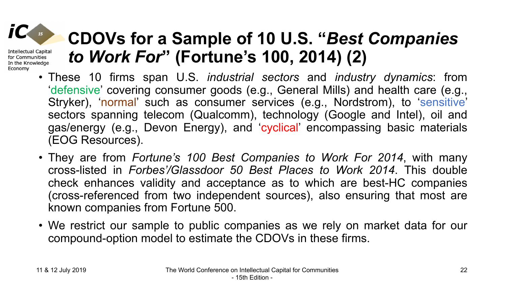### **CDOVs for a Sample of 10 U.S. "***Best Companies to Work For***" (Fortune's 100, 2014) (2)**

- These 10 firms span U.S. *industrial sectors* and *industry dynamics*: from 'defensive' covering consumer goods (e.g., General Mills) and health care (e.g., Stryker), 'normal' such as consumer services (e.g., Nordstrom), to 'sensitive' sectors spanning telecom (Qualcomm), technology (Google and Intel), oil and gas/energy (e.g., Devon Energy), and 'cyclical' encompassing basic materials (EOG Resources).
- They are from *Fortune's 100 Best Companies to Work For 2014*, with many cross-listed in *Forbes'/Glassdoor 50 Best Places to Work 2014*. This double check enhances validity and acceptance as to which are best-HC companies (cross-referenced from two independent sources), also ensuring that most are known companies from Fortune 500.
- We restrict our sample to public companies as we rely on market data for our compound-option model to estimate the CDOVs in these firms.

**Intellectual Capital** for Communities In the Knowledge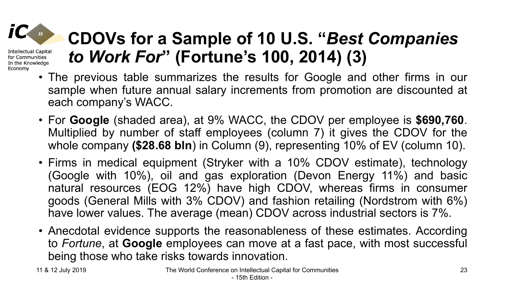#### **CDOVs for a Sample of 10 U.S. "***Best Companies*  **Intellectual Capital** *to Work For***" (Fortune's 100, 2014) (3)** In the Knowledge

- The previous table summarizes the results for Google and other firms in our sample when future annual salary increments from promotion are discounted at each company's WACC.
- For **Google** (shaded area), at 9% WACC, the CDOV per employee is **\$690,760**. Multiplied by number of staff employees (column 7) it gives the CDOV for the whole company **(\$28.68 bln**) in Column (9), representing 10% of EV (column 10).
- Firms in medical equipment (Stryker with a 10% CDOV estimate), technology (Google with 10%), oil and gas exploration (Devon Energy 11%) and basic natural resources (EOG 12%) have high CDOV, whereas firms in consumer goods (General Mills with 3% CDOV) and fashion retailing (Nordstrom with 6%) have lower values. The average (mean) CDOV across industrial sectors is 7%.
- Anecdotal evidence supports the reasonableness of these estimates. According to *Fortune*, at **Google** employees can move at a fast pace, with most successful being those who take risks towards innovation.

for Communities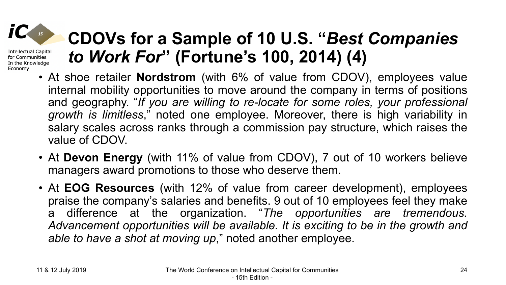### **CDOVs for a Sample of 10 U.S. "***Best Companies to Work For***" (Fortune's 100, 2014) (4)**

- At shoe retailer **Nordstrom** (with 6% of value from CDOV), employees value internal mobility opportunities to move around the company in terms of positions and geography. "*If you are willing to re-locate for some roles, your professional growth is limitless*," noted one employee. Moreover, there is high variability in salary scales across ranks through a commission pay structure, which raises the value of CDOV.
- At **Devon Energy** (with 11% of value from CDOV), 7 out of 10 workers believe managers award promotions to those who deserve them.
- At **EOG Resources** (with 12% of value from career development), employees praise the company's salaries and benefits. 9 out of 10 employees feel they make a difference at the organization. "*The opportunities are tremendous. Advancement opportunities will be available. It is exciting to be in the growth and able to have a shot at moving up*," noted another employee.

**Intellectual Capital** for Communities In the Knowledge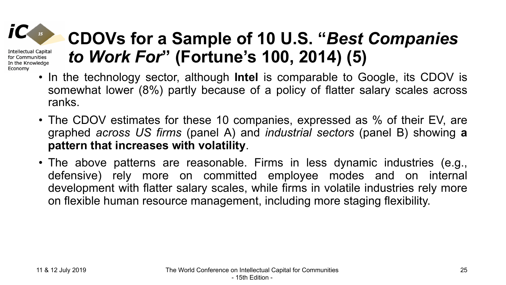### **CDOVs for a Sample of 10 U.S. "***Best Companies to Work For***" (Fortune's 100, 2014) (5)**

- In the technology sector, although **Intel** is comparable to Google, its CDOV is somewhat lower (8%) partly because of a policy of flatter salary scales across ranks.
- The CDOV estimates for these 10 companies, expressed as % of their EV, are graphed *across US firms* (panel A) and *industrial sectors* (panel B) showing **a pattern that increases with volatility**.
- The above patterns are reasonable. Firms in less dynamic industries (e.g., defensive) rely more on committed employee modes and on internal development with flatter salary scales, while firms in volatile industries rely more on flexible human resource management, including more staging flexibility.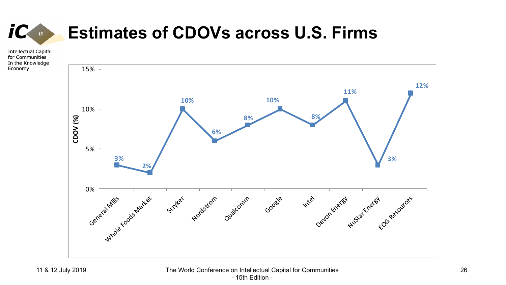#### **Estimates of CDOVs across U.S. Firms**

**Intellectual Capital** for Communities In the Knowledge Economy

 $15$ 

*iC* 

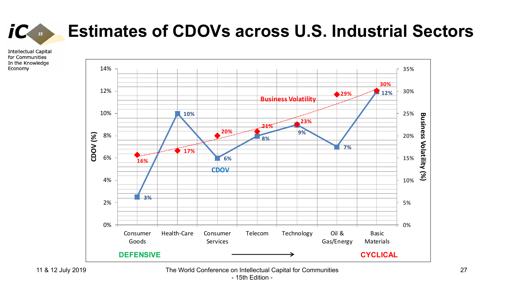

#### **Estimates of CDOVs across U.S. Industrial Sectors**

**Intellectual Capital** for Communities In the Knowledge Economy



11 & 12 July 2019 The World Conference on Intellectual Capital for Communities - 15th Edition -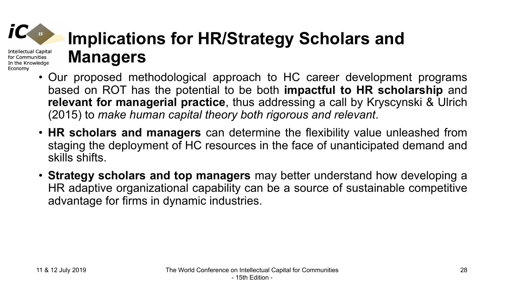### **Implications for HR/Strategy Scholars and Managers**

- Our proposed methodological approach to HC career development programs based on ROT has the potential to be both **impactful to HR scholarship** and **relevant for managerial practice**, thus addressing a call by Kryscynski & Ulrich (2015) to *make human capital theory both rigorous and relevant*.
- **HR scholars and managers** can determine the flexibility value unleashed from staging the deployment of HC resources in the face of unanticipated demand and skills shifts.
- **Strategy scholars and top managers** may better understand how developing a HR adaptive organizational capability can be a source of sustainable competitive advantage for firms in dynamic industries.

Intellectual Capital for Communities In the Knowledge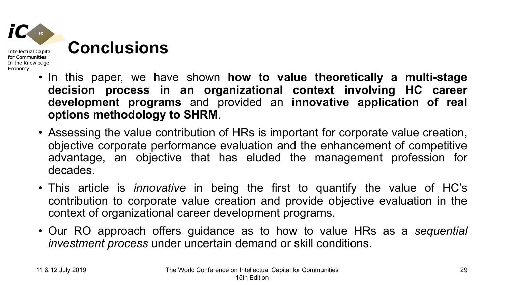

- In this paper, we have shown **how to value theoretically a multi-stage decision process in an organizational context involving HC career development programs** and provided an **innovative application of real options methodology to SHRM**.
- Assessing the value contribution of HRs is important for corporate value creation, objective corporate performance evaluation and the enhancement of competitive advantage, an objective that has eluded the management profession for decades.
- This article is *innovative* in being the first to quantify the value of HC's contribution to corporate value creation and provide objective evaluation in the context of organizational career development programs.
- Our RO approach offers guidance as to how to value HRs as a *sequential investment process* under uncertain demand or skill conditions.